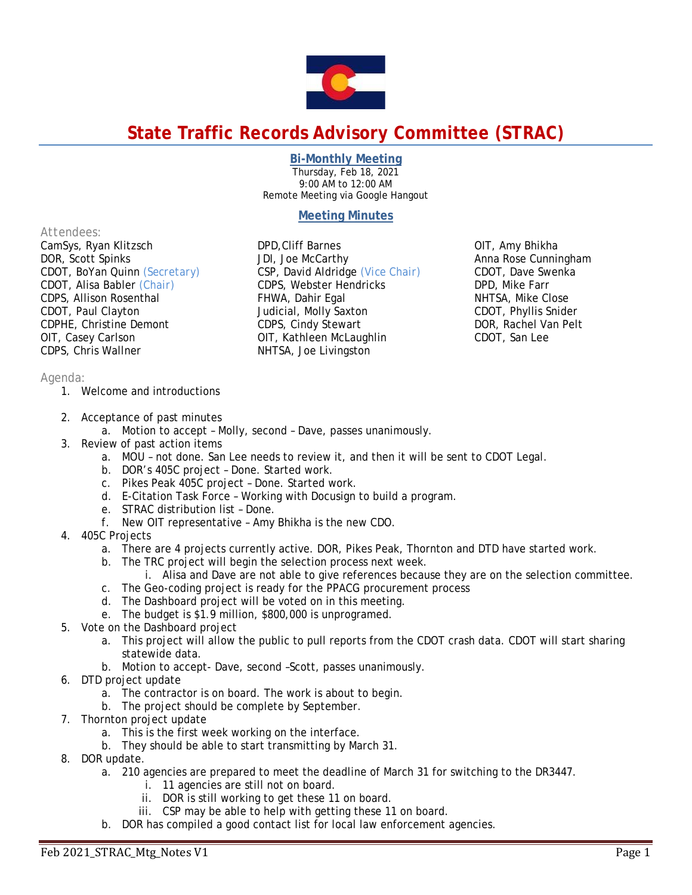

# **State Traffic Records Advisory Committee (STRAC)**

## **Bi-Monthly Meeting**

Thursday, Feb 18, 2021 9:00 AM to 12:00 AM Remote Meeting via Google Hangout

# **Meeting Minutes**

#### *Attendees:*

CamSys, Ryan Klitzsch DOR, Scott Spinks CDOT, BoYan Quinn *(Secretary)* CDOT, Alisa Babler *(Chair)* CDPS, Allison Rosenthal CDOT, Paul Clayton CDPHE, Christine Demont OIT, Casey Carlson CDPS, Chris Wallner

DPD,Cliff Barnes JDI, Joe McCarthy CSP, David Aldridge *(Vice Chair)* CDPS, Webster Hendricks FHWA, Dahir Egal Judicial, Molly Saxton CDPS, Cindy Stewart OIT, Kathleen McLaughlin NHTSA, Joe Livingston

OIT, Amy Bhikha Anna Rose Cunningham CDOT, Dave Swenka DPD, Mike Farr NHTSA, Mike Close CDOT, Phyllis Snider DOR, Rachel Van Pelt CDOT, San Lee

### *Agenda:*

- 1. Welcome and introductions
- 2. Acceptance of past minutes
	- a. Motion to accept Molly, second Dave, passes unanimously.
- 3. Review of past action items
	- a. MOU not done. San Lee needs to review it, and then it will be sent to CDOT Legal.
	- b. DOR's 405C project Done. Started work.
	- c. Pikes Peak 405C project Done. Started work.
	- d. E-Citation Task Force Working with Docusign to build a program.
	- e. STRAC distribution list Done.
	- f. New OIT representative Amy Bhikha is the new CDO.
- 4. 405C Projects
	- a. There are 4 projects currently active. DOR, Pikes Peak, Thornton and DTD have started work.
	- b. The TRC project will begin the selection process next week.
		- i. Alisa and Dave are not able to give references because they are on the selection committee.
	- c. The Geo-coding project is ready for the PPACG procurement process
	- d. The Dashboard project will be voted on in this meeting.
	- e. The budget is \$1.9 million, \$800,000 is unprogramed.
- 5. Vote on the Dashboard project
	- a. This project will allow the public to pull reports from the CDOT crash data. CDOT will start sharing statewide data.
	- b. Motion to accept- Dave, second –Scott, passes unanimously.
- 6. DTD project update
	- a. The contractor is on board. The work is about to begin.
	- b. The project should be complete by September.
- 7. Thornton project update
	- a. This is the first week working on the interface.
	- b. They should be able to start transmitting by March 31.
- 8. DOR update.
	- a. 210 agencies are prepared to meet the deadline of March 31 for switching to the DR3447.
		- i. 11 agencies are still not on board.
		- ii. DOR is still working to get these 11 on board.
		- iii. CSP may be able to help with getting these 11 on board.
	- b. DOR has compiled a good contact list for local law enforcement agencies.